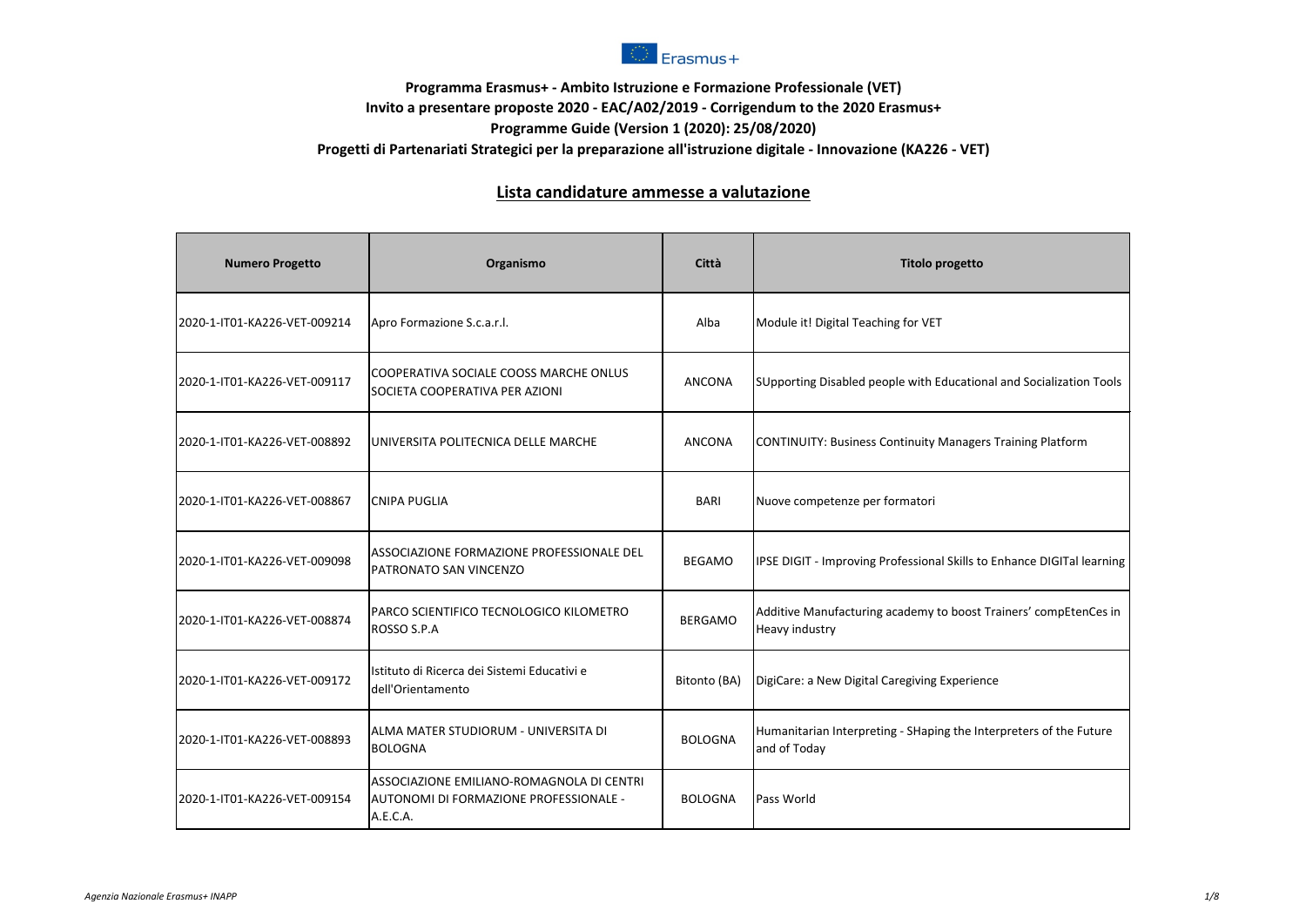

## **Programma Erasmus+ - Ambito Istruzione e Formazione Professionale (VET) Invito a presentare proposte 2020 - EAC/A02/2019 - Corrigendum to the 2020 Erasmus+ Programme Guide (Version 1 (2020): 25/08/2020) Progetti di Partenariati Strategici per la preparazione all'istruzione digitale - Innovazione (KA226 - VET)**

## **Lista candidature ammesse a valutazione**

| <b>Numero Progetto</b>       | Organismo                                                                                       | Città          | <b>Titolo progetto</b>                                                             |
|------------------------------|-------------------------------------------------------------------------------------------------|----------------|------------------------------------------------------------------------------------|
| 2020-1-IT01-KA226-VET-009214 | Apro Formazione S.c.a.r.l.                                                                      | Alba           | Module it! Digital Teaching for VET                                                |
| 2020-1-IT01-KA226-VET-009117 | COOPERATIVA SOCIALE COOSS MARCHE ONLUS<br>SOCIETA COOPERATIVA PER AZIONI                        | ANCONA         | SUpporting Disabled people with Educational and Socialization Tools                |
| 2020-1-IT01-KA226-VET-008892 | UNIVERSITA POLITECNICA DELLE MARCHE                                                             | <b>ANCONA</b>  | CONTINUITY: Business Continuity Managers Training Platform                         |
| 2020-1-IT01-KA226-VET-008867 | <b>CNIPA PUGLIA</b>                                                                             | <b>BARI</b>    | Nuove competenze per formatori                                                     |
| 2020-1-IT01-KA226-VET-009098 | ASSOCIAZIONE FORMAZIONE PROFESSIONALE DEL<br>PATRONATO SAN VINCENZO                             | <b>BEGAMO</b>  | IPSE DIGIT - Improving Professional Skills to Enhance DIGITal learning             |
| 2020-1-IT01-KA226-VET-008874 | PARCO SCIENTIFICO TECNOLOGICO KILOMETRO<br>ROSSO S.P.A                                          | <b>BERGAMO</b> | Additive Manufacturing academy to boost Trainers' compEtenCes in<br>Heavy industry |
| 2020-1-IT01-KA226-VET-009172 | Istituto di Ricerca dei Sistemi Educativi e<br>dell'Orientamento                                | Bitonto (BA)   | DigiCare: a New Digital Caregiving Experience                                      |
| 2020-1-IT01-KA226-VET-008893 | ALMA MATER STUDIORUM - UNIVERSITA DI<br><b>BOLOGNA</b>                                          | <b>BOLOGNA</b> | Humanitarian Interpreting - SHaping the Interpreters of the Future<br>and of Today |
| 2020-1-IT01-KA226-VET-009154 | ASSOCIAZIONE EMILIANO-ROMAGNOLA DI CENTRI<br>AUTONOMI DI FORMAZIONE PROFESSIONALE -<br>A.E.C.A. | <b>BOLOGNA</b> | Pass World                                                                         |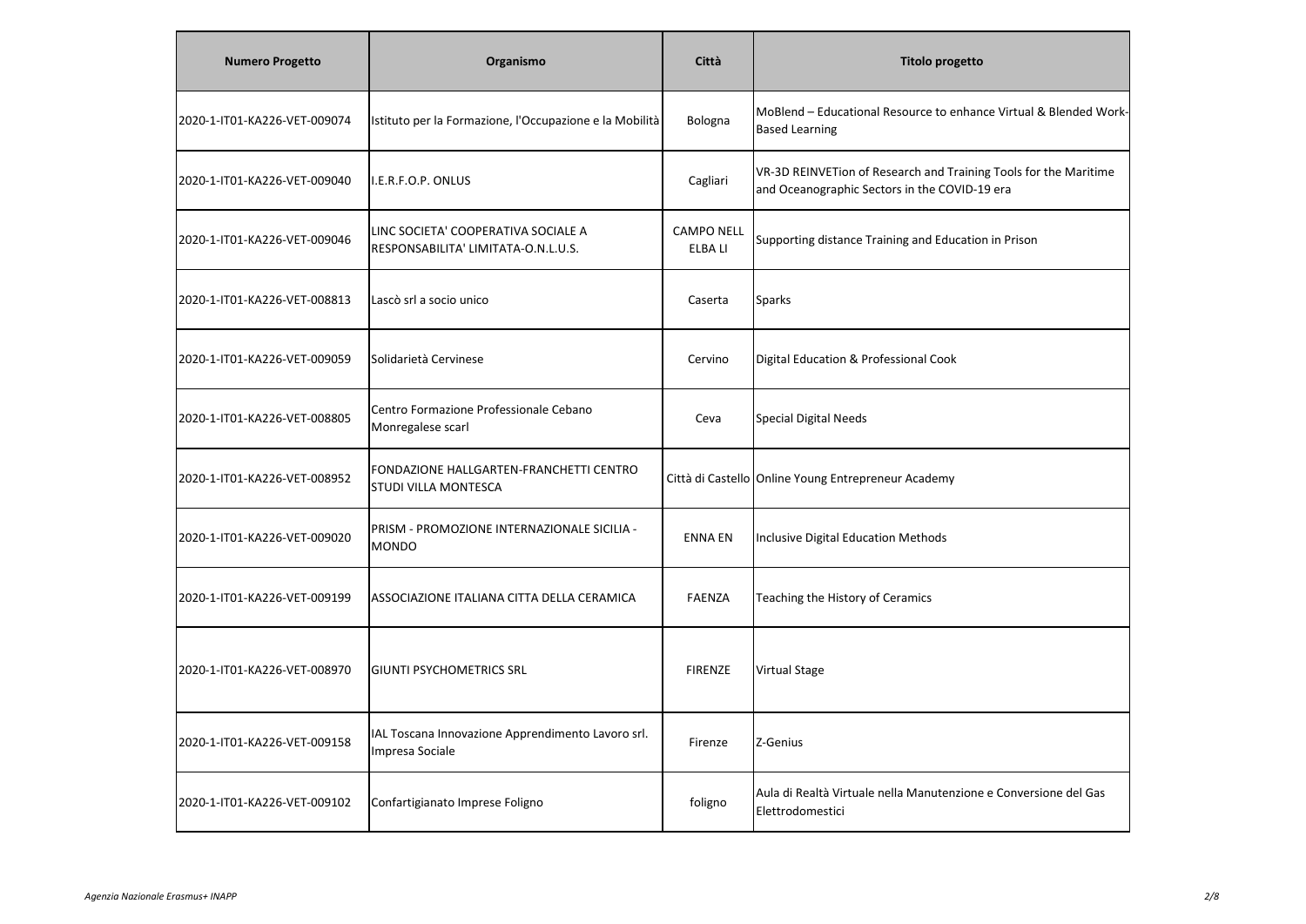| <b>Numero Progetto</b>       | Organismo                                                                  | Città                        | <b>Titolo progetto</b>                                                                                            |
|------------------------------|----------------------------------------------------------------------------|------------------------------|-------------------------------------------------------------------------------------------------------------------|
| 2020-1-IT01-KA226-VET-009074 | Istituto per la Formazione, l'Occupazione e la Mobilità                    | Bologna                      | MoBlend - Educational Resource to enhance Virtual & Blended Work-<br><b>Based Learning</b>                        |
| 2020-1-IT01-KA226-VET-009040 | I.E.R.F.O.P. ONLUS                                                         | Cagliari                     | VR-3D REINVETion of Research and Training Tools for the Maritime<br>and Oceanographic Sectors in the COVID-19 era |
| 2020-1-IT01-KA226-VET-009046 | LINC SOCIETA' COOPERATIVA SOCIALE A<br>RESPONSABILITA' LIMITATA-O.N.L.U.S. | <b>CAMPO NELL</b><br>ELBA LI | Supporting distance Training and Education in Prison                                                              |
| 2020-1-IT01-KA226-VET-008813 | Lascò srl a socio unico                                                    | Caserta                      | <b>Sparks</b>                                                                                                     |
| 2020-1-IT01-KA226-VET-009059 | Solidarietà Cervinese                                                      | Cervino                      | Digital Education & Professional Cook                                                                             |
| 2020-1-IT01-KA226-VET-008805 | Centro Formazione Professionale Cebano<br>Monregalese scarl                | Ceva                         | <b>Special Digital Needs</b>                                                                                      |
| 2020-1-IT01-KA226-VET-008952 | FONDAZIONE HALLGARTEN-FRANCHETTI CENTRO<br><b>STUDI VILLA MONTESCA</b>     |                              | Città di Castello Online Young Entrepreneur Academy                                                               |
| 2020-1-IT01-KA226-VET-009020 | PRISM - PROMOZIONE INTERNAZIONALE SICILIA -<br><b>MONDO</b>                | <b>ENNA EN</b>               | Inclusive Digital Education Methods                                                                               |
| 2020-1-IT01-KA226-VET-009199 | ASSOCIAZIONE ITALIANA CITTA DELLA CERAMICA                                 | <b>FAENZA</b>                | Teaching the History of Ceramics                                                                                  |
| 2020-1-IT01-KA226-VET-008970 | <b>GIUNTI PSYCHOMETRICS SRL</b>                                            | <b>FIRENZE</b>               | <b>Virtual Stage</b>                                                                                              |
| 2020-1-IT01-KA226-VET-009158 | IAL Toscana Innovazione Apprendimento Lavoro srl.<br>Impresa Sociale       | Firenze                      | Z-Genius                                                                                                          |
| 2020-1-IT01-KA226-VET-009102 | Confartigianato Imprese Foligno                                            | foligno                      | Aula di Realtà Virtuale nella Manutenzione e Conversione del Gas<br>Elettrodomestici                              |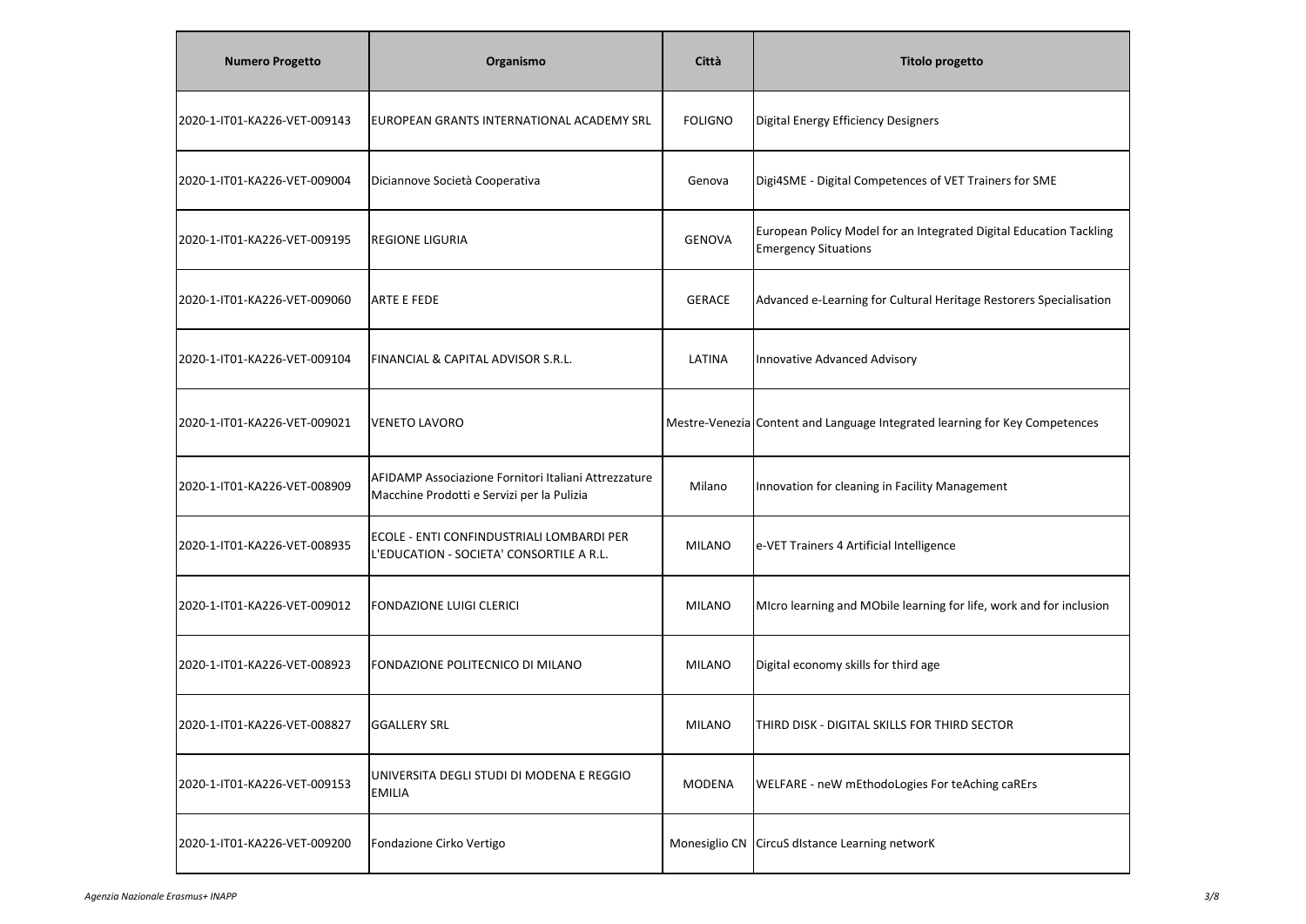| <b>Numero Progetto</b>       | Organismo                                                                                          | Città          | <b>Titolo progetto</b>                                                                            |
|------------------------------|----------------------------------------------------------------------------------------------------|----------------|---------------------------------------------------------------------------------------------------|
| 2020-1-IT01-KA226-VET-009143 | EUROPEAN GRANTS INTERNATIONAL ACADEMY SRL                                                          | <b>FOLIGNO</b> | Digital Energy Efficiency Designers                                                               |
| 2020-1-IT01-KA226-VET-009004 | Diciannove Società Cooperativa                                                                     | Genova         | Digi4SME - Digital Competences of VET Trainers for SME                                            |
| 2020-1-IT01-KA226-VET-009195 | <b>REGIONE LIGURIA</b>                                                                             | <b>GENOVA</b>  | European Policy Model for an Integrated Digital Education Tackling<br><b>Emergency Situations</b> |
| 2020-1-IT01-KA226-VET-009060 | <b>ARTE E FEDE</b>                                                                                 | <b>GERACE</b>  | Advanced e-Learning for Cultural Heritage Restorers Specialisation                                |
| 2020-1-IT01-KA226-VET-009104 | FINANCIAL & CAPITAL ADVISOR S.R.L.                                                                 | LATINA         | Innovative Advanced Advisory                                                                      |
| 2020-1-IT01-KA226-VET-009021 | <b>VENETO LAVORO</b>                                                                               |                | Mestre-Venezia Content and Language Integrated learning for Key Competences                       |
| 2020-1-IT01-KA226-VET-008909 | AFIDAMP Associazione Fornitori Italiani Attrezzature<br>Macchine Prodotti e Servizi per la Pulizia | Milano         | Innovation for cleaning in Facility Management                                                    |
| 2020-1-IT01-KA226-VET-008935 | ECOLE - ENTI CONFINDUSTRIALI LOMBARDI PER<br>L'EDUCATION - SOCIETA' CONSORTILE A R.L.              | <b>MILANO</b>  | e-VET Trainers 4 Artificial Intelligence                                                          |
| 2020-1-IT01-KA226-VET-009012 | <b>FONDAZIONE LUIGI CLERICI</b>                                                                    | <b>MILANO</b>  | MIcro learning and MObile learning for life, work and for inclusion                               |
| 2020-1-IT01-KA226-VET-008923 | FONDAZIONE POLITECNICO DI MILANO                                                                   | <b>MILANO</b>  | Digital economy skills for third age                                                              |
| 2020-1-IT01-KA226-VET-008827 | <b>GGALLERY SRL</b>                                                                                | <b>MILANO</b>  | THIRD DISK - DIGITAL SKILLS FOR THIRD SECTOR                                                      |
| 2020-1-IT01-KA226-VET-009153 | UNIVERSITA DEGLI STUDI DI MODENA E REGGIO<br><b>EMILIA</b>                                         | <b>MODENA</b>  | WELFARE - neW mEthodoLogies For teAching caRErs                                                   |
| 2020-1-IT01-KA226-VET-009200 | Fondazione Cirko Vertigo                                                                           |                | Monesiglio CN CircuS dIstance Learning networK                                                    |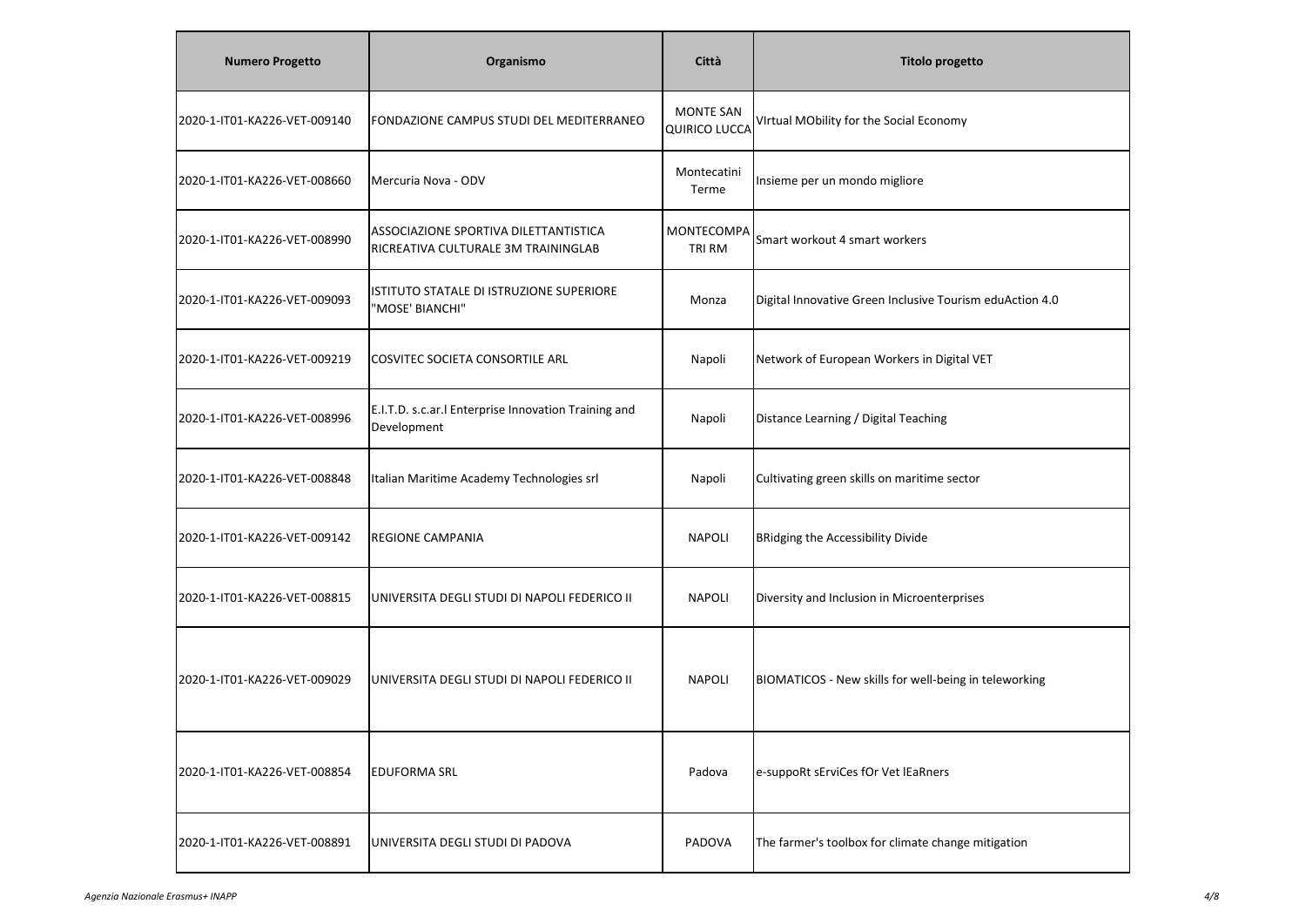| <b>Numero Progetto</b>       | Organismo                                                                    | Città                                    | <b>Titolo progetto</b>                                   |
|------------------------------|------------------------------------------------------------------------------|------------------------------------------|----------------------------------------------------------|
| 2020-1-IT01-KA226-VET-009140 | FONDAZIONE CAMPUS STUDI DEL MEDITERRANEO                                     | <b>MONTE SAN</b><br><b>QUIRICO LUCCA</b> | VIrtual MObility for the Social Economy                  |
| 2020-1-IT01-KA226-VET-008660 | Mercuria Nova - ODV                                                          | Montecatini<br>Terme                     | Insieme per un mondo migliore                            |
| 2020-1-IT01-KA226-VET-008990 | ASSOCIAZIONE SPORTIVA DILETTANTISTICA<br>RICREATIVA CULTURALE 3M TRAININGLAB | MONTECOMPA<br>TRI RM                     | Smart workout 4 smart workers                            |
| 2020-1-IT01-KA226-VET-009093 | ISTITUTO STATALE DI ISTRUZIONE SUPERIORE<br>"MOSE' BIANCHI"                  | Monza                                    | Digital Innovative Green Inclusive Tourism eduAction 4.0 |
| 2020-1-IT01-KA226-VET-009219 | COSVITEC SOCIETA CONSORTILE ARL                                              | Napoli                                   | Network of European Workers in Digital VET               |
| 2020-1-IT01-KA226-VET-008996 | E.I.T.D. s.c.ar.I Enterprise Innovation Training and<br>Development          | Napoli                                   | Distance Learning / Digital Teaching                     |
| 2020-1-IT01-KA226-VET-008848 | Italian Maritime Academy Technologies srl                                    | Napoli                                   | Cultivating green skills on maritime sector              |
| 2020-1-IT01-KA226-VET-009142 | <b>REGIONE CAMPANIA</b>                                                      | <b>NAPOLI</b>                            | <b>BRidging the Accessibility Divide</b>                 |
| 2020-1-IT01-KA226-VET-008815 | UNIVERSITA DEGLI STUDI DI NAPOLI FEDERICO II                                 | <b>NAPOLI</b>                            | Diversity and Inclusion in Microenterprises              |
| 2020-1-IT01-KA226-VET-009029 | UNIVERSITA DEGLI STUDI DI NAPOLI FEDERICO II                                 | <b>NAPOLI</b>                            | BIOMATICOS - New skills for well-being in teleworking    |
| 2020-1-IT01-KA226-VET-008854 | <b>EDUFORMA SRL</b>                                                          | Padova                                   | e-suppoRt sErviCes fOr Vet lEaRners                      |
| 2020-1-IT01-KA226-VET-008891 | UNIVERSITA DEGLI STUDI DI PADOVA                                             | PADOVA                                   | The farmer's toolbox for climate change mitigation       |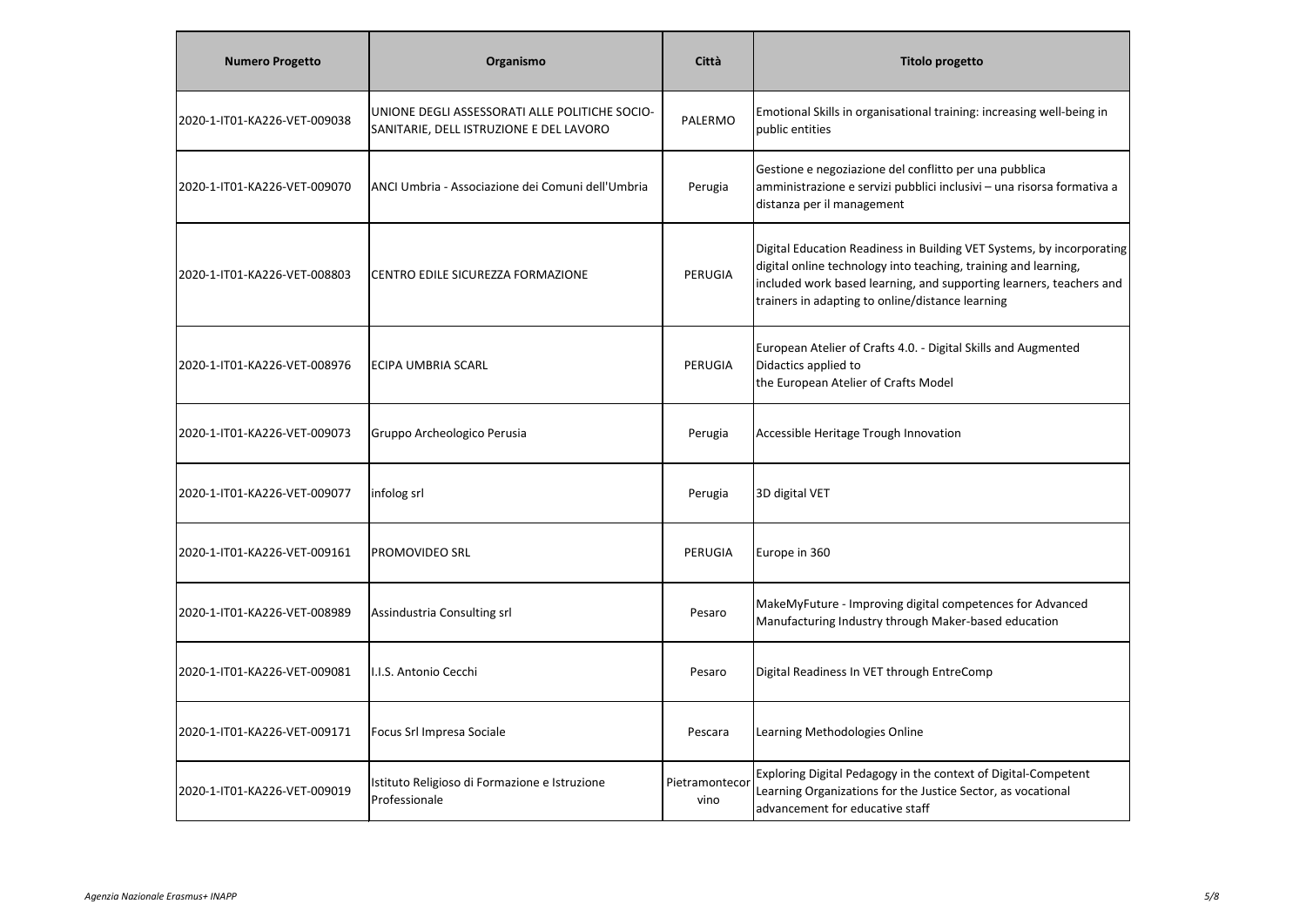| <b>Numero Progetto</b>       | Organismo                                                                                 | Città                  | <b>Titolo progetto</b>                                                                                                                                                                                                                                              |
|------------------------------|-------------------------------------------------------------------------------------------|------------------------|---------------------------------------------------------------------------------------------------------------------------------------------------------------------------------------------------------------------------------------------------------------------|
| 2020-1-IT01-KA226-VET-009038 | UNIONE DEGLI ASSESSORATI ALLE POLITICHE SOCIO-<br>SANITARIE, DELL ISTRUZIONE E DEL LAVORO | PALERMO                | Emotional Skills in organisational training: increasing well-being in<br>public entities                                                                                                                                                                            |
| 2020-1-IT01-KA226-VET-009070 | ANCI Umbria - Associazione dei Comuni dell'Umbria                                         | Perugia                | Gestione e negoziazione del conflitto per una pubblica<br>amministrazione e servizi pubblici inclusivi - una risorsa formativa a<br>distanza per il management                                                                                                      |
| 2020-1-IT01-KA226-VET-008803 | CENTRO EDILE SICUREZZA FORMAZIONE                                                         | PERUGIA                | Digital Education Readiness in Building VET Systems, by incorporating<br>digital online technology into teaching, training and learning,<br>included work based learning, and supporting learners, teachers and<br>trainers in adapting to online/distance learning |
| 2020-1-IT01-KA226-VET-008976 | <b>ECIPA UMBRIA SCARL</b>                                                                 | PERUGIA                | European Atelier of Crafts 4.0. - Digital Skills and Augmented<br>Didactics applied to<br>the European Atelier of Crafts Model                                                                                                                                      |
| 2020-1-IT01-KA226-VET-009073 | Gruppo Archeologico Perusia                                                               | Perugia                | Accessible Heritage Trough Innovation                                                                                                                                                                                                                               |
| 2020-1-IT01-KA226-VET-009077 | infolog srl                                                                               | Perugia                | 3D digital VET                                                                                                                                                                                                                                                      |
| 2020-1-IT01-KA226-VET-009161 | <b>PROMOVIDEO SRL</b>                                                                     | PERUGIA                | Europe in 360                                                                                                                                                                                                                                                       |
| 2020-1-IT01-KA226-VET-008989 | Assindustria Consulting srl                                                               | Pesaro                 | MakeMyFuture - Improving digital competences for Advanced<br>Manufacturing Industry through Maker-based education                                                                                                                                                   |
| 2020-1-IT01-KA226-VET-009081 | I.I.S. Antonio Cecchi                                                                     | Pesaro                 | Digital Readiness In VET through EntreComp                                                                                                                                                                                                                          |
| 2020-1-IT01-KA226-VET-009171 | Focus Srl Impresa Sociale                                                                 | Pescara                | Learning Methodologies Online                                                                                                                                                                                                                                       |
| 2020-1-IT01-KA226-VET-009019 | Istituto Religioso di Formazione e Istruzione<br>Professionale                            | Pietramontecor<br>vino | Exploring Digital Pedagogy in the context of Digital-Competent<br>Learning Organizations for the Justice Sector, as vocational<br>advancement for educative staff                                                                                                   |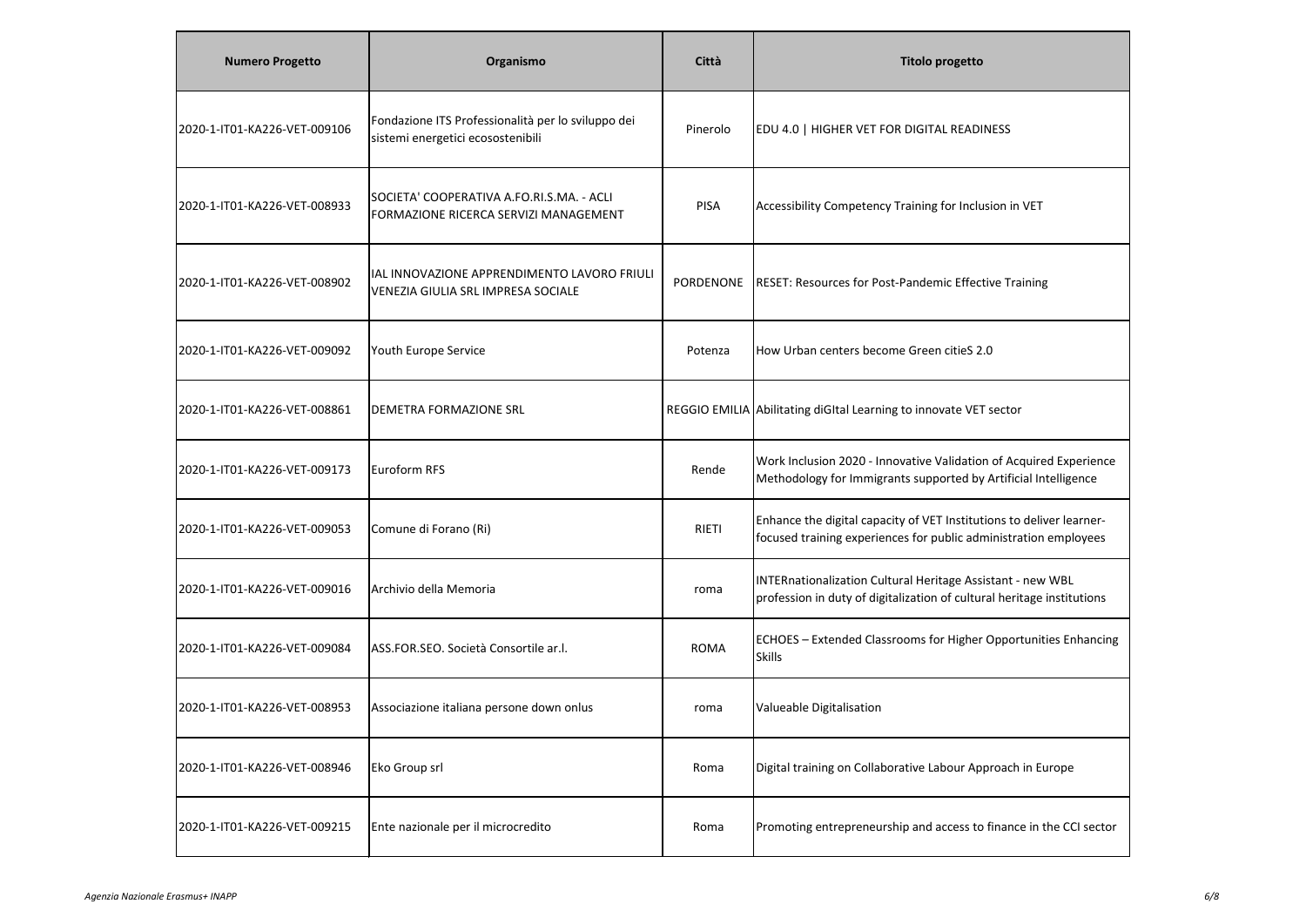| <b>Numero Progetto</b>       | Organismo                                                                                | Città        | <b>Titolo progetto</b>                                                                                                                   |
|------------------------------|------------------------------------------------------------------------------------------|--------------|------------------------------------------------------------------------------------------------------------------------------------------|
| 2020-1-IT01-KA226-VET-009106 | Fondazione ITS Professionalità per lo sviluppo dei<br>sistemi energetici ecosostenibili  | Pinerolo     | EDU 4.0   HIGHER VET FOR DIGITAL READINESS                                                                                               |
| 2020-1-IT01-KA226-VET-008933 | SOCIETA' COOPERATIVA A.FO.RI.S.MA. - ACLI<br>FORMAZIONE RICERCA SERVIZI MANAGEMENT       | <b>PISA</b>  | Accessibility Competency Training for Inclusion in VET                                                                                   |
| 2020-1-IT01-KA226-VET-008902 | IAL INNOVAZIONE APPRENDIMENTO LAVORO FRIULI<br><b>VENEZIA GIULIA SRL IMPRESA SOCIALE</b> | PORDENONE    | RESET: Resources for Post-Pandemic Effective Training                                                                                    |
| 2020-1-IT01-KA226-VET-009092 | Youth Europe Service                                                                     | Potenza      | How Urban centers become Green citieS 2.0                                                                                                |
| 2020-1-IT01-KA226-VET-008861 | DEMETRA FORMAZIONE SRL                                                                   |              | REGGIO EMILIA Abilitating diGItal Learning to innovate VET sector                                                                        |
| 2020-1-IT01-KA226-VET-009173 | Euroform RFS                                                                             | Rende        | Work Inclusion 2020 - Innovative Validation of Acquired Experience<br>Methodology for Immigrants supported by Artificial Intelligence    |
| 2020-1-IT01-KA226-VET-009053 | Comune di Forano (Ri)                                                                    | <b>RIETI</b> | Enhance the digital capacity of VET Institutions to deliver learner-<br>focused training experiences for public administration employees |
| 2020-1-IT01-KA226-VET-009016 | Archivio della Memoria                                                                   | roma         | INTERnationalization Cultural Heritage Assistant - new WBL<br>profession in duty of digitalization of cultural heritage institutions     |
| 2020-1-IT01-KA226-VET-009084 | ASS.FOR.SEO. Società Consortile ar.l.                                                    | <b>ROMA</b>  | ECHOES - Extended Classrooms for Higher Opportunities Enhancing<br><b>Skills</b>                                                         |
| 2020-1-IT01-KA226-VET-008953 | Associazione italiana persone down onlus                                                 | roma         | Valueable Digitalisation                                                                                                                 |
| 2020-1-IT01-KA226-VET-008946 | Eko Group srl                                                                            | Roma         | Digital training on Collaborative Labour Approach in Europe                                                                              |
| 2020-1-IT01-KA226-VET-009215 | Ente nazionale per il microcredito                                                       | Roma         | Promoting entrepreneurship and access to finance in the CCI sector                                                                       |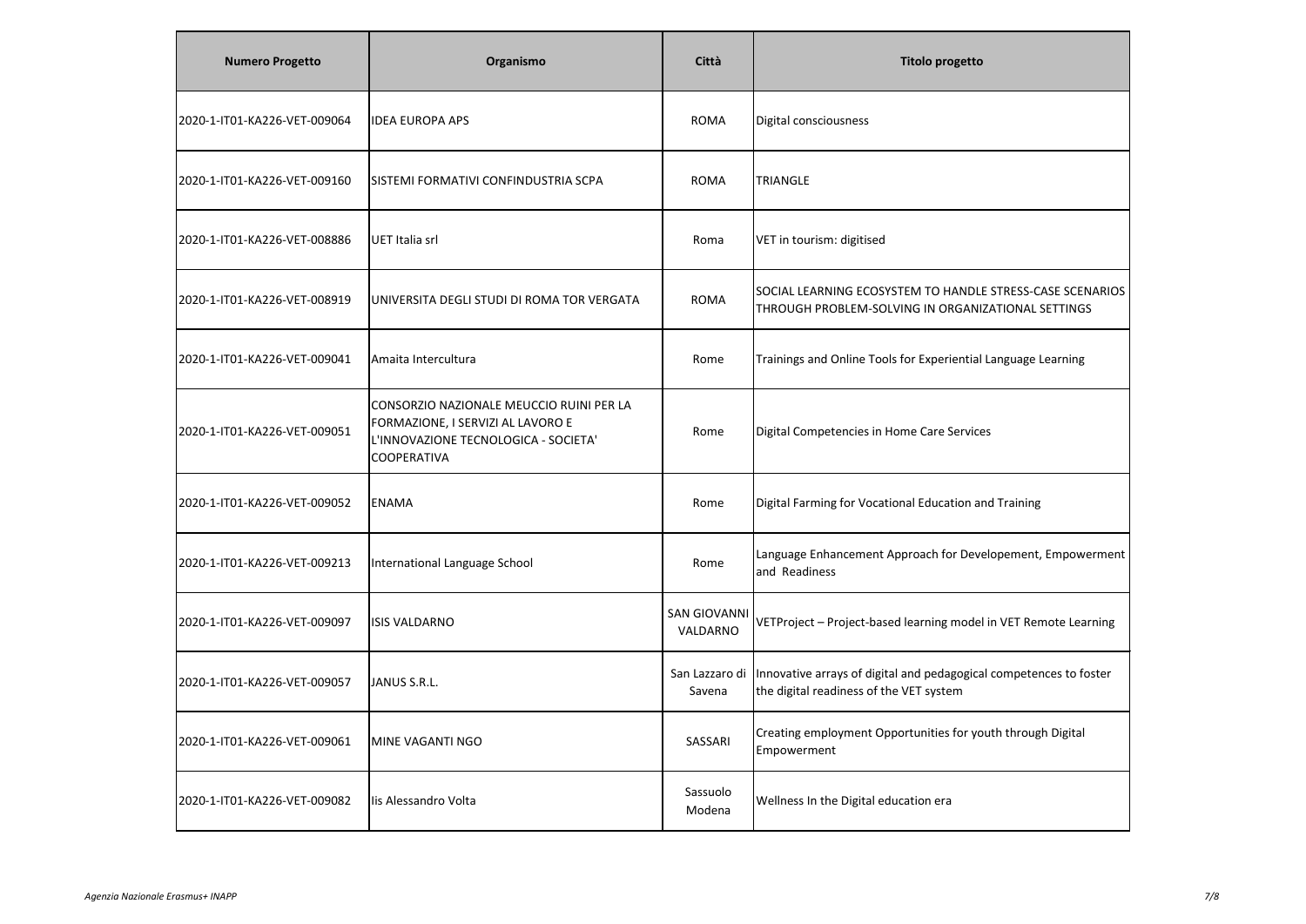| <b>Numero Progetto</b>       | Organismo                                                                                                                                   | Città                           | <b>Titolo progetto</b>                                                                                          |
|------------------------------|---------------------------------------------------------------------------------------------------------------------------------------------|---------------------------------|-----------------------------------------------------------------------------------------------------------------|
| 2020-1-IT01-KA226-VET-009064 | <b>IDEA EUROPA APS</b>                                                                                                                      | <b>ROMA</b>                     | Digital consciousness                                                                                           |
| 2020-1-IT01-KA226-VET-009160 | SISTEMI FORMATIVI CONFINDUSTRIA SCPA                                                                                                        | <b>ROMA</b>                     | TRIANGLE                                                                                                        |
| 2020-1-IT01-KA226-VET-008886 | UET Italia srl                                                                                                                              | Roma                            | VET in tourism: digitised                                                                                       |
| 2020-1-IT01-KA226-VET-008919 | UNIVERSITA DEGLI STUDI DI ROMA TOR VERGATA                                                                                                  | <b>ROMA</b>                     | SOCIAL LEARNING ECOSYSTEM TO HANDLE STRESS-CASE SCENARIOS<br>THROUGH PROBLEM-SOLVING IN ORGANIZATIONAL SETTINGS |
| 2020-1-IT01-KA226-VET-009041 | Amaita Intercultura                                                                                                                         | Rome                            | Trainings and Online Tools for Experiential Language Learning                                                   |
| 2020-1-IT01-KA226-VET-009051 | CONSORZIO NAZIONALE MEUCCIO RUINI PER LA<br>FORMAZIONE, I SERVIZI AL LAVORO E<br>L'INNOVAZIONE TECNOLOGICA - SOCIETA'<br><b>COOPERATIVA</b> | Rome                            | Digital Competencies in Home Care Services                                                                      |
| 2020-1-IT01-KA226-VET-009052 | ENAMA                                                                                                                                       | Rome                            | Digital Farming for Vocational Education and Training                                                           |
| 2020-1-IT01-KA226-VET-009213 | International Language School                                                                                                               | Rome                            | Language Enhancement Approach for Developement, Empowerment<br>and Readiness                                    |
| 2020-1-IT01-KA226-VET-009097 | <b>ISIS VALDARNO</b>                                                                                                                        | <b>SAN GIOVANNI</b><br>VALDARNO | VETProject - Project-based learning model in VET Remote Learning                                                |
| 2020-1-IT01-KA226-VET-009057 | JANUS S.R.L.                                                                                                                                | San Lazzaro di<br>Savena        | Innovative arrays of digital and pedagogical competences to foster<br>the digital readiness of the VET system   |
| 2020-1-IT01-KA226-VET-009061 | <b>IMINE VAGANTI NGO</b>                                                                                                                    | SASSARI                         | Creating employment Opportunities for youth through Digital<br>Empowerment                                      |
| 2020-1-IT01-KA226-VET-009082 | lis Alessandro Volta                                                                                                                        | Sassuolo<br>Modena              | Wellness In the Digital education era                                                                           |